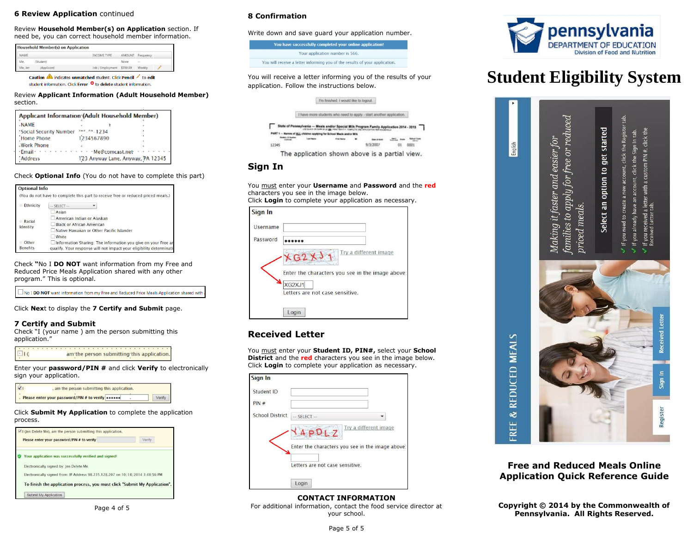## **6 Review Application** continued

Review **Household Member(s) on Application** section. If need be, you can correct household member information.

|         | <b>Household Member(s) on Application</b> |                           |               |               |  |
|---------|-------------------------------------------|---------------------------|---------------|---------------|--|
| NAME    |                                           | INCOME TYPE               | <b>AMOUNT</b> | Frequency     |  |
| Me.     | Student)                                  |                           | None          | $\sim$ $\sim$ |  |
| Me, Jen | (Applicant)                               | Job / Employment \$350.00 |               | Weekly        |  |

Caution <a>
Caution</a>
indicates unmatched student. Click Pencil <a>
Caution</a>
fo edit student information. Click Error <sup>0</sup> to delete student information.

Review **Applicant Information (Adult Household Member)**  section.

| <b>Applicant Information (Adult Household Member)</b> |               |                                   |  |                                                                                                                                                                                                                                                                                                                                                                                                                                   |  |
|-------------------------------------------------------|---------------|-----------------------------------|--|-----------------------------------------------------------------------------------------------------------------------------------------------------------------------------------------------------------------------------------------------------------------------------------------------------------------------------------------------------------------------------------------------------------------------------------|--|
| <b>NAME</b>                                           |               |                                   |  |                                                                                                                                                                                                                                                                                                                                                                                                                                   |  |
| 'Social Security Number                               | $3x^2 - 1234$ |                                   |  |                                                                                                                                                                                                                                                                                                                                                                                                                                   |  |
| <b>Home Phone</b>                                     | 1234567890    |                                   |  |                                                                                                                                                                                                                                                                                                                                                                                                                                   |  |
| <b>Work Phone</b>                                     |               |                                   |  |                                                                                                                                                                                                                                                                                                                                                                                                                                   |  |
| · Email · · · · · · · · · · · · · · Ne@comcast.net    |               |                                   |  | $\label{eq:2.1} \begin{array}{cccccccccc} \mathbf{a} & \mathbf{a} & \mathbf{a} & \mathbf{a} & \mathbf{a} & \mathbf{a} & \mathbf{a} & \mathbf{a} & \mathbf{a} & \mathbf{a} & \mathbf{a} & \mathbf{a} & \mathbf{a} & \mathbf{a} & \mathbf{a} & \mathbf{a} & \mathbf{a} & \mathbf{a} & \mathbf{a} & \mathbf{a} & \mathbf{a} & \mathbf{a} & \mathbf{a} & \mathbf{a} & \mathbf{a} & \mathbf{a} & \mathbf{a} & \mathbf{a} & \mathbf{a}$ |  |
| Address                                               |               | 123 Anyway Lane, Anyway, PA 12345 |  |                                                                                                                                                                                                                                                                                                                                                                                                                                   |  |

Check **Optional Info** (You do not have to complete this part)

| <b>Optional Info</b> |                                                                                  |
|----------------------|----------------------------------------------------------------------------------|
|                      | (You do not have to complete this part to receive free or reduced priced meals.) |
| Ethnicity            | $-$ SFLFCT $-$                                                                   |
|                      | Asian                                                                            |
| Racial               | American Indian or Alaskan                                                       |
| Identity             | <b>Black or African American</b>                                                 |
|                      | Native Hawaiian or Other Pacific Islander                                        |
|                      | White                                                                            |
| Other                | Information Sharing: The information you give on your Free an                    |
| <b>Benefits</b>      | qualify. Your response will not impact your eligibility determination            |

Check **"**No I **DO NOT** want information from my Free and Reduced Price Meals Application shared with any other program." This is optional.

No I DO NOT want information from my Free and Reduced Price Meals Application shared with

Click **Nex**t to display the **7 Certify and Submit** page.

## **7 Certify and Submit**

Check "I (your name ) am the person submitting this application."

 $E10$ am the person submitting this application.

Enter your **password/PIN #** and click **Verify** to electronically sign your application.

| , am the person submitting this application. |        |
|----------------------------------------------|--------|
| Please enter your password/PIN # to verify   | Verify |

#### Click **Submit My Application** to complete the application process.

| Please enter your password/PIN # to verify                                     | Venty |
|--------------------------------------------------------------------------------|-------|
| Your application was successfully verified and signed!                         |       |
| Electronically signed by: Jen Delete Me                                        |       |
| Electronically signed from: IP Address 98.235.128.207 on 10/18/2014 3:48:56 PM |       |
| To finish the application process, you must click "Submit My Application".     |       |

## **8 Confirmation**

Write down and save guard your application number.

| You have successfully completed your online application!                    |  |  |
|-----------------------------------------------------------------------------|--|--|
| Your application number is 566.                                             |  |  |
| You will receive a letter informing you of the results of your application. |  |  |

You will receive a letter informing you of the results of your application. Follow the instructions below.

| I'm finished. I would like to logout |
|--------------------------------------|
|                                      |
|                                      |

| State of Pennsylvania - Meals and/or Special Milk Program Family Application 2014 - 2015 |  |          |  |
|------------------------------------------------------------------------------------------|--|----------|--|
| If ALL children applying for School Maste and/or MIN                                     |  |          |  |
|                                                                                          |  | 9/3/2007 |  |

# **Sign In**

You must enter your **Username** and **Password** and the **red** characters you see in the image below. Click **Login** to complete your application as necessary.

| Sign In         |                                                                                              |
|-----------------|----------------------------------------------------------------------------------------------|
| <b>Username</b> |                                                                                              |
| Password        |                                                                                              |
|                 | Try a different image<br>(G2X)<br>Enter the characters you see in the image above:<br>XG2XJ1 |
|                 | Letters are not case sensitive.                                                              |
|                 | Login                                                                                        |

# **Received Letter**

You must enter your **Student ID, PIN#,** select your **School District** and the **red** characters you see in the image below. Click **Login** to complete your application as necessary.

| Sign In                |                                 |                                                  |
|------------------------|---------------------------------|--------------------------------------------------|
| Student ID             |                                 |                                                  |
| PIN#                   |                                 |                                                  |
| <b>School District</b> | $-$ SELECT $-$                  |                                                  |
|                        |                                 | Try a different image                            |
|                        |                                 | Enter the characters you see in the image above: |
|                        |                                 |                                                  |
|                        | Letters are not case sensitive. |                                                  |
|                        | Login                           |                                                  |

**CONTACT INFORMATION** For additional information, contact the food service director at your school.



# **Student Eligibility System**



**Free and Reduced Meals Online Application Quick Reference Guide**

**Copyright © 2014 by the Commonwealth of Pennsylvania. All Rights Reserved.**